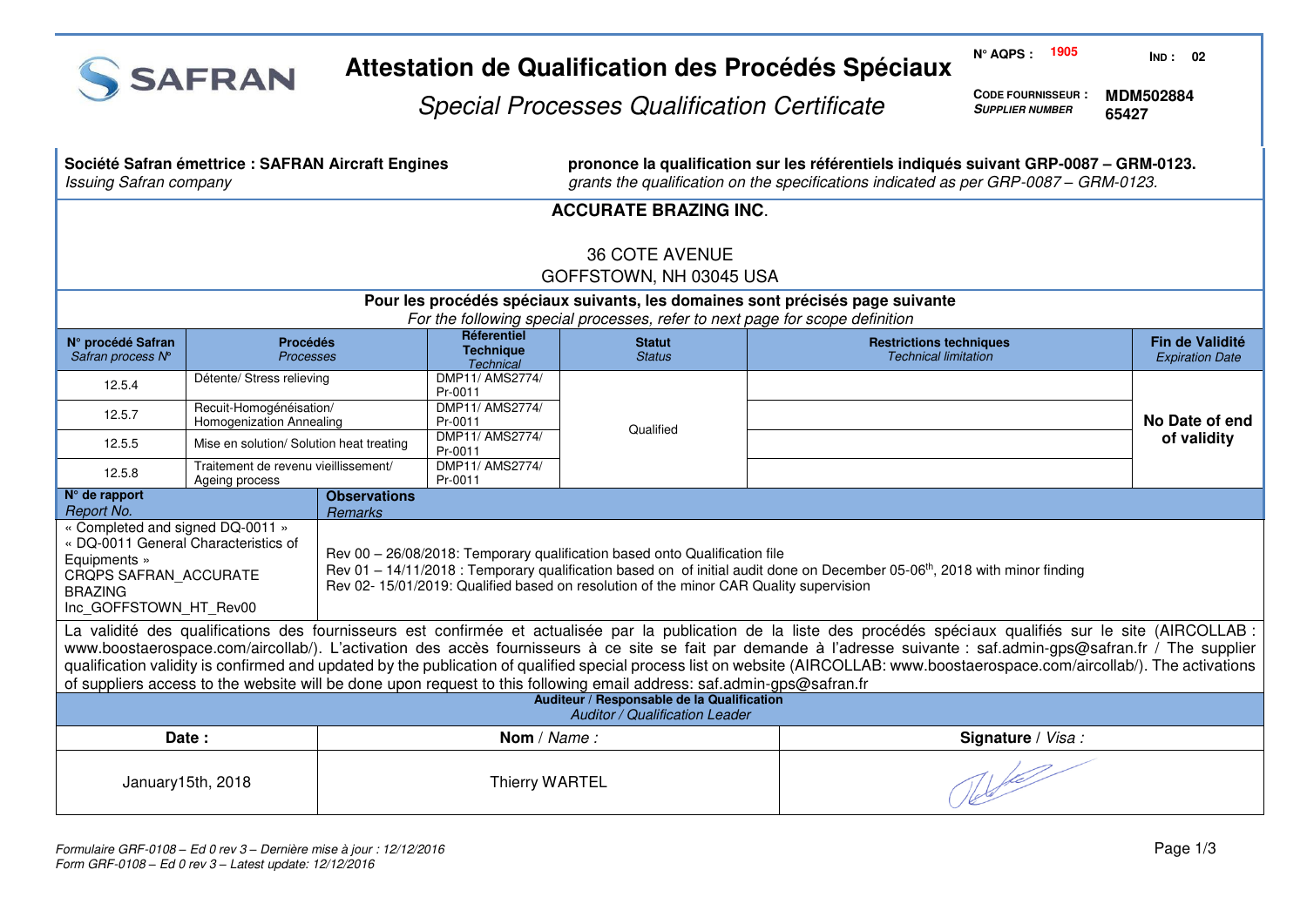

# **Attestation de Qualification des Procédés Spéciaux**

**N° AQPS : 1905 IND : 02**

Special Processes Qualification Certificate

**CODE FOURNISSEUR : SUPPLIER NUMBER MDM502884 65427** 

| <b>Issuing Safran company</b>                                                                                                                                                                                                                                                                                                                                                                                                                                                                                                                                                                                                                          | Société Safran émettrice : SAFRAN Aircraft Engines         |                            |                                                     | prononce la qualification sur les référentiels indiqués suivant GRP-0087 - GRM-0123.<br>grants the qualification on the specifications indicated as per GRP-0087 - GRM-0123. |                                                               |                                           |  |  |  |
|--------------------------------------------------------------------------------------------------------------------------------------------------------------------------------------------------------------------------------------------------------------------------------------------------------------------------------------------------------------------------------------------------------------------------------------------------------------------------------------------------------------------------------------------------------------------------------------------------------------------------------------------------------|------------------------------------------------------------|----------------------------|-----------------------------------------------------|------------------------------------------------------------------------------------------------------------------------------------------------------------------------------|---------------------------------------------------------------|-------------------------------------------|--|--|--|
| <b>ACCURATE BRAZING INC.</b>                                                                                                                                                                                                                                                                                                                                                                                                                                                                                                                                                                                                                           |                                                            |                            |                                                     |                                                                                                                                                                              |                                                               |                                           |  |  |  |
| <b>36 COTE AVENUE</b><br>GOFFSTOWN, NH 03045 USA                                                                                                                                                                                                                                                                                                                                                                                                                                                                                                                                                                                                       |                                                            |                            |                                                     |                                                                                                                                                                              |                                                               |                                           |  |  |  |
| Pour les procédés spéciaux suivants, les domaines sont précisés page suivante<br>For the following special processes, refer to next page for scope definition                                                                                                                                                                                                                                                                                                                                                                                                                                                                                          |                                                            |                            |                                                     |                                                                                                                                                                              |                                                               |                                           |  |  |  |
| N° procédé Safran<br>Safran process N°                                                                                                                                                                                                                                                                                                                                                                                                                                                                                                                                                                                                                 | <b>Procédés</b><br>Processes                               |                            | Réferentiel<br><b>Technique</b><br><b>Technical</b> | <b>Statut</b><br><b>Status</b>                                                                                                                                               | <b>Restrictions techniques</b><br><b>Technical limitation</b> | Fin de Validité<br><b>Expiration Date</b> |  |  |  |
| 12.5.4                                                                                                                                                                                                                                                                                                                                                                                                                                                                                                                                                                                                                                                 | Détente/ Stress relieving                                  |                            | DMP11/ AMS2774/<br>Pr-0011                          |                                                                                                                                                                              |                                                               |                                           |  |  |  |
| 12.5.7                                                                                                                                                                                                                                                                                                                                                                                                                                                                                                                                                                                                                                                 | Recuit-Homogénéisation/<br><b>Homogenization Annealing</b> |                            | DMP11/ AMS2774/<br>Pr-0011                          | Qualified                                                                                                                                                                    |                                                               | No Date of end                            |  |  |  |
| 12.5.5                                                                                                                                                                                                                                                                                                                                                                                                                                                                                                                                                                                                                                                 | Mise en solution/ Solution heat treating                   | DMP11/ AMS2774/<br>Pr-0011 |                                                     |                                                                                                                                                                              |                                                               | of validity                               |  |  |  |
| 12.5.8                                                                                                                                                                                                                                                                                                                                                                                                                                                                                                                                                                                                                                                 | Traitement de revenu vieillissement/<br>Ageing process     |                            | DMP11/ AMS2774/<br>Pr-0011                          |                                                                                                                                                                              |                                                               |                                           |  |  |  |
| Report No.                                                                                                                                                                                                                                                                                                                                                                                                                                                                                                                                                                                                                                             | $N°$ de rapport<br><b>Observations</b><br><b>Remarks</b>   |                            |                                                     |                                                                                                                                                                              |                                                               |                                           |  |  |  |
| « Completed and signed DQ-0011 »<br>« DQ-0011 General Characteristics of<br>Rev 00 - 26/08/2018: Temporary qualification based onto Qualification file<br>Equipments »<br>Rev 01 - 14/11/2018 : Temporary qualification based on of initial audit done on December 05-06 <sup>th</sup> , 2018 with minor finding<br>CROPS SAFRAN ACCURATE<br>Rev 02- 15/01/2019: Qualified based on resolution of the minor CAR Quality supervision<br><b>BRAZING</b><br>Inc GOFFSTOWN HT Rev00                                                                                                                                                                        |                                                            |                            |                                                     |                                                                                                                                                                              |                                                               |                                           |  |  |  |
| La validité des qualifications des fournisseurs est confirmée et actualisée par la publication de la liste des procédés spéciaux qualifiés sur le site (AIRCOLLAB :<br>www.boostaerospace.com/aircollab/). L'activation des accès fournisseurs à ce site se fait par demande à l'adresse suivante : saf.admin-gps@safran.fr / The supplier<br>qualification validity is confirmed and updated by the publication of qualified special process list on website (AIRCOLLAB: www.boostaerospace.com/aircollab/). The activations<br>of suppliers access to the website will be done upon request to this following email address: saf.admin-gps@safran.fr |                                                            |                            |                                                     |                                                                                                                                                                              |                                                               |                                           |  |  |  |
| Auditeur / Responsable de la Qualification<br><b>Auditor / Qualification Leader</b>                                                                                                                                                                                                                                                                                                                                                                                                                                                                                                                                                                    |                                                            |                            |                                                     |                                                                                                                                                                              |                                                               |                                           |  |  |  |
| Date:                                                                                                                                                                                                                                                                                                                                                                                                                                                                                                                                                                                                                                                  |                                                            |                            | Nom / Name:                                         |                                                                                                                                                                              | Signature / Visa :                                            |                                           |  |  |  |
| January15th, 2018                                                                                                                                                                                                                                                                                                                                                                                                                                                                                                                                                                                                                                      |                                                            | <b>Thierry WARTEL</b>      |                                                     |                                                                                                                                                                              |                                                               |                                           |  |  |  |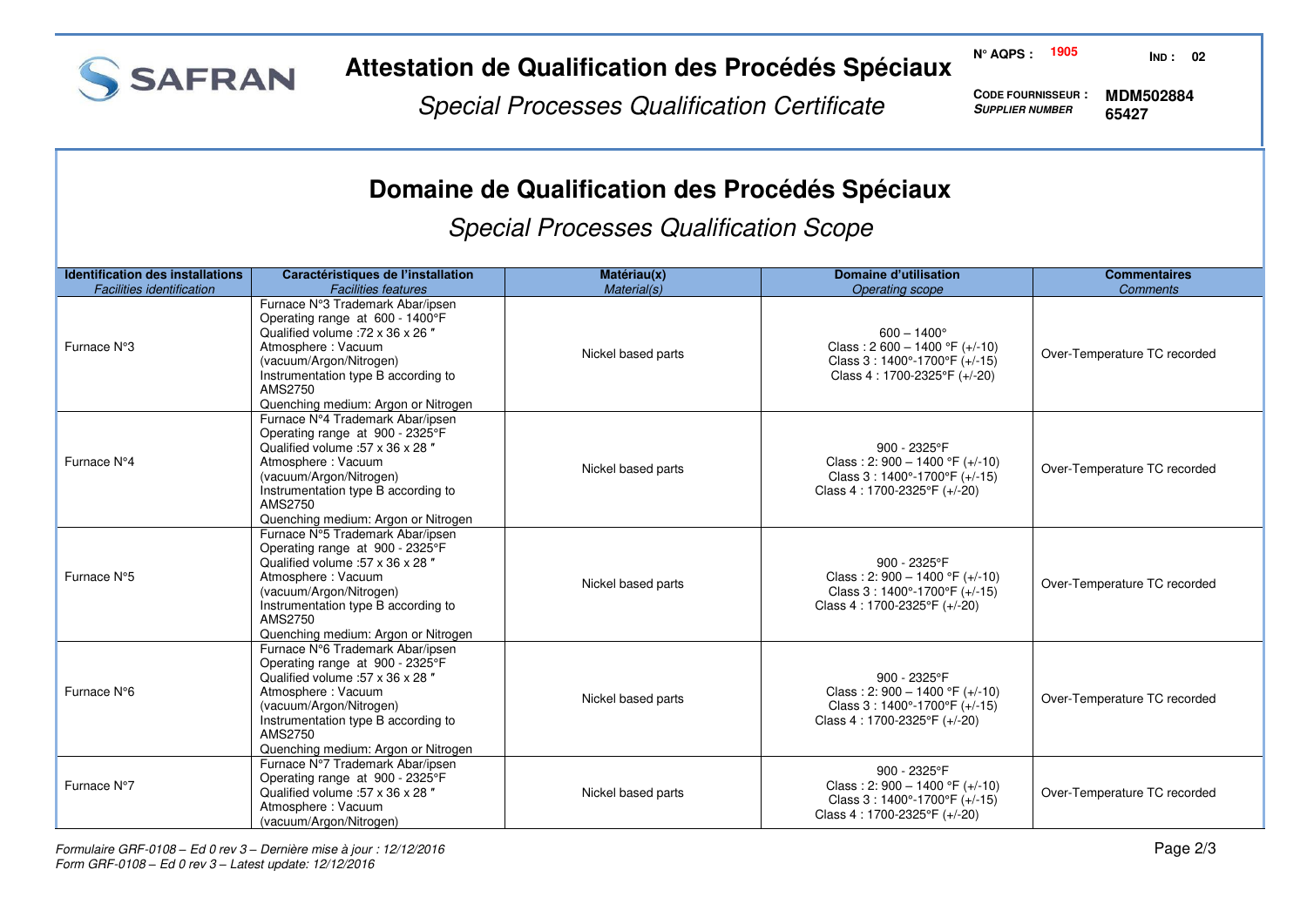

#### **Attestation de Qualification des Procédés Spéciaux**

**N° AQPS : 1905 IND : 02**

Special Processes Qualification Certificate

**CODE FOURNISSEUR : SUPPLIER NUMBER 65427** 

**MDM502884**

# **Domaine de Qualification des Procédés Spéciaux**

Special Processes Qualification Scope

| <b>Identification des installations</b> | Caractéristiques de l'installation                                                                                                                                                                                                                 | Matériau(x)        | Domaine d'utilisation                                                                                                                | <b>Commentaires</b>          |
|-----------------------------------------|----------------------------------------------------------------------------------------------------------------------------------------------------------------------------------------------------------------------------------------------------|--------------------|--------------------------------------------------------------------------------------------------------------------------------------|------------------------------|
| <b>Facilities identification</b>        | <b>Facilities features</b>                                                                                                                                                                                                                         | Material(s)        | <b>Operating scope</b>                                                                                                               | <b>Comments</b>              |
| Furnace N°3                             | Furnace N°3 Trademark Abar/ipsen<br>Operating range at 600 - 1400°F<br>Qualified volume : 72 x 36 x 26 "<br>Atmosphere: Vacuum<br>(vacuum/Argon/Nitrogen)<br>Instrumentation type B according to<br>AMS2750<br>Quenching medium: Argon or Nitrogen | Nickel based parts | $600 - 1400^{\circ}$<br>Class: $2600 - 1400$ °F (+/-10)<br>Class 3: 1400°-1700°F (+/-15)<br>Class 4: 1700-2325°F (+/-20)             | Over-Temperature TC recorded |
| Furnace N°4                             | Furnace N°4 Trademark Abar/ipsen<br>Operating range at 900 - 2325°F<br>Qualified volume :57 x 36 x 28 "<br>Atmosphere: Vacuum<br>(vacuum/Argon/Nitrogen)<br>Instrumentation type B according to<br>AMS2750<br>Quenching medium: Argon or Nitrogen  | Nickel based parts | 900 - 2325°F<br>Class: 2: 900 - 1400 °F (+/-10)<br>Class 3: 1400°-1700°F (+/-15)<br>Class 4: 1700-2325°F (+/-20)                     | Over-Temperature TC recorded |
| Furnace N°5                             | Furnace N°5 Trademark Abar/ipsen<br>Operating range at 900 - 2325°F<br>Qualified volume :57 x 36 x 28"<br>Atmosphere: Vacuum<br>(vacuum/Argon/Nitrogen)<br>Instrumentation type B according to<br>AMS2750<br>Quenching medium: Argon or Nitrogen   | Nickel based parts | 900 - 2325°F<br>Class: 2: $900 - 1400$ °F (+/-10)<br>Class $3:1400^{\circ} - 1700^{\circ}$ F (+/-15)<br>Class 4: 1700-2325°F (+/-20) | Over-Temperature TC recorded |
| Furnace N°6                             | Furnace N°6 Trademark Abar/ipsen<br>Operating range at 900 - 2325°F<br>Qualified volume :57 x 36 x 28 "<br>Atmosphere: Vacuum<br>(vacuum/Argon/Nitrogen)<br>Instrumentation type B according to<br>AMS2750<br>Quenching medium: Argon or Nitrogen  | Nickel based parts | 900 - 2325°F<br>Class: 2: 900 - 1400 °F ( $+/-10$ )<br>Class 3: 1400°-1700°F (+/-15)<br>Class 4: 1700-2325°F (+/-20)                 | Over-Temperature TC recorded |
| Furnace N°7                             | Furnace N°7 Trademark Abar/ipsen<br>Operating range at 900 - 2325°F<br>Qualified volume : 57 x 36 x 28"<br>Atmosphere: Vacuum<br>(vacuum/Argon/Nitrogen)                                                                                           | Nickel based parts | 900 - 2325°F<br>Class: 2: $900 - 1400$ °F (+/-10)<br>Class $3:1400^{\circ} - 1700^{\circ}$ F (+/-15)<br>Class 4: 1700-2325°F (+/-20) | Over-Temperature TC recorded |